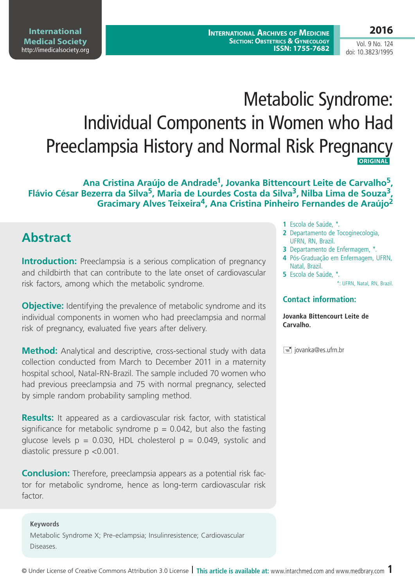# Metabolic Syndrome: Individual Components in Women who Had Preeclampsia History and Normal Risk Pregnancy  **ORIGINAL**

**Ana Cristina Araújo de Andrade1, Jovanka Bittencourt Leite de Carvalho5, Flávio César Bezerra da Silva5, Maria de Lourdes Costa da Silva3, Nilba Lima de Souza3, Gracimary Alves Teixeira4, Ana Cristina Pinheiro Fernandes de Araújo2**

# **Abstract**

**Introduction:** Preeclampsia is a serious complication of pregnancy and childbirth that can contribute to the late onset of cardiovascular risk factors, among which the metabolic syndrome.

**Objective:** Identifying the prevalence of metabolic syndrome and its individual components in women who had preeclampsia and normal risk of pregnancy, evaluated five years after delivery.

**Method:** Analytical and descriptive, cross-sectional study with data collection conducted from March to December 2011 in a maternity hospital school, Natal-RN-Brazil. The sample included 70 women who had previous preeclampsia and 75 with normal pregnancy, selected by simple random probability sampling method.

**Results:** It appeared as a cardiovascular risk factor, with statistical significance for metabolic syndrome  $p = 0.042$ , but also the fasting glucose levels  $p = 0.030$ , HDL cholesterol  $p = 0.049$ , systolic and diastolic pressure p <0.001.

**Conclusion:** Therefore, preeclampsia appears as a potential risk factor for metabolic syndrome, hence as long-term cardiovascular risk factor.

### **Keywords** Metabolic Syndrome X; Pre-eclampsia; Insulinresistence; Cardiovascular Diseases.

- **1** Escola de Saúde, \*.
- **2** Departamento de Tocoginecologia, UFRN, RN, Brazil.
- **3** Departamento de Enfermagem, \*.
- **4** Pós-Graduação em Enfermagem, UFRN, Natal, Brazil.
- **5** Escola de Saúde, \*.

\*: UFRN, Natal, RN, Brazil.

### **Contact information:**

**Jovanka Bittencourt Leite de Carvalho.**

 $\equiv$  jovanka@es.ufrn.br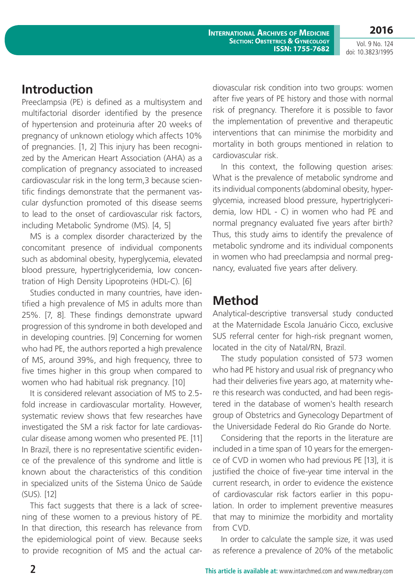**Introduction**

Preeclampsia (PE) is defined as a multisystem and multifactorial disorder identified by the presence of hypertension and proteinuria after 20 weeks of pregnancy of unknown etiology which affects 10% of pregnancies. [1, 2] This injury has been recognized by the American Heart Association (AHA) as a complication of pregnancy associated to increased cardiovascular risk in the long term,3 because scientific findings demonstrate that the permanent vascular dysfunction promoted of this disease seems to lead to the onset of cardiovascular risk factors, including Metabolic Syndrome (MS). [4, 5]

MS is a complex disorder characterized by the concomitant presence of individual components such as abdominal obesity, hyperglycemia, elevated blood pressure, hypertriglyceridemia, low concentration of High Density Lipoproteins (HDL-C). [6]

Studies conducted in many countries, have identified a high prevalence of MS in adults more than 25%. [7, 8]. These findings demonstrate upward progression of this syndrome in both developed and in developing countries. [9] Concerning for women who had PE, the authors reported a high prevalence of MS, around 39%, and high frequency, three to five times higher in this group when compared to women who had habitual risk pregnancy. [10]

It is considered relevant association of MS to 2.5 fold increase in cardiovascular mortality. However, systematic review shows that few researches have investigated the SM a risk factor for late cardiovascular disease among women who presented PE. [11] In Brazil, there is no representative scientific evidence of the prevalence of this syndrome and little is known about the characteristics of this condition in specialized units of the Sistema Único de Saúde (SUS). [12]

This fact suggests that there is a lack of screening of these women to a previous history of PE. In that direction, this research has relevance from the epidemiological point of view. Because seeks to provide recognition of MS and the actual cardiovascular risk condition into two groups: women after five years of PE history and those with normal risk of pregnancy. Therefore it is possible to favor the implementation of preventive and therapeutic interventions that can minimise the morbidity and mortality in both groups mentioned in relation to cardiovascular risk.

In this context, the following question arises: What is the prevalence of metabolic syndrome and its individual components (abdominal obesity, hyperglycemia, increased blood pressure, hypertriglyceridemia, low HDL - C) in women who had PE and normal pregnancy evaluated five years after birth? Thus, this study aims to identify the prevalence of metabolic syndrome and its individual components in women who had preeclampsia and normal pregnancy, evaluated five years after delivery.

# **Method**

Analytical-descriptive transversal study conducted at the Maternidade Escola Januário Cicco, exclusive SUS referral center for high-risk pregnant women, located in the city of Natal/RN, Brazil.

The study population consisted of 573 women who had PE history and usual risk of pregnancy who had their deliveries five years ago, at maternity where this research was conducted, and had been registered in the database of women's health research group of Obstetrics and Gynecology Department of the Universidade Federal do Rio Grande do Norte.

Considering that the reports in the literature are included in a time span of 10 years for the emergence of CVD in women who had previous PE [13], it is justified the choice of five-year time interval in the current research, in order to evidence the existence of cardiovascular risk factors earlier in this population. In order to implement preventive measures that may to minimize the morbidity and mortality from CVD.

In order to calculate the sample size, it was used as reference a prevalence of 20% of the metabolic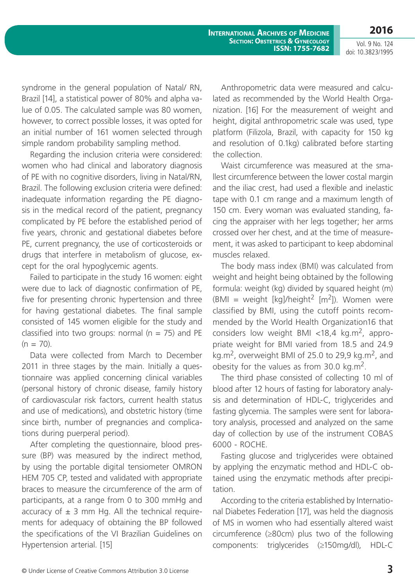**2016** Vol. 9 No. 124

doi: 10.3823/1995

syndrome in the general population of Natal/ RN, Brazil [14], a statistical power of 80% and alpha value of 0.05. The calculated sample was 80 women, however, to correct possible losses, it was opted for an initial number of 161 women selected through simple random probability sampling method.

Regarding the inclusion criteria were considered: women who had clinical and laboratory diagnosis of PE with no cognitive disorders, living in Natal/RN, Brazil. The following exclusion criteria were defined: inadequate information regarding the PE diagnosis in the medical record of the patient, pregnancy complicated by PE before the established period of five years, chronic and gestational diabetes before PE, current pregnancy, the use of corticosteroids or drugs that interfere in metabolism of glucose, except for the oral hypoglycemic agents.

Failed to participate in the study 16 women: eight were due to lack of diagnostic confirmation of PE, five for presenting chronic hypertension and three for having gestational diabetes. The final sample consisted of 145 women eligible for the study and classified into two groups: normal ( $n = 75$ ) and PE  $(n = 70)$ .

Data were collected from March to December 2011 in three stages by the main. Initially a questionnaire was applied concerning clinical variables (personal history of chronic disease, family history of cardiovascular risk factors, current health status and use of medications), and obstetric history (time since birth, number of pregnancies and complications during puerperal period).

After completing the questionnaire, blood pressure (BP) was measured by the indirect method, by using the portable digital tensiometer OMRON HEM 705 CP, tested and validated with appropriate braces to measure the circumference of the arm of participants, at a range from 0 to 300 mmHg and accuracy of  $\pm$  3 mm Hg. All the technical requirements for adequacy of obtaining the BP followed the specifications of the VI Brazilian Guidelines on Hypertension arterial. [15]

Anthropometric data were measured and calculated as recommended by the World Health Organization. [16] For the measurement of weight and height, digital anthropometric scale was used, type platform (Filizola, Brazil, with capacity for 150 kg and resolution of 0.1kg) calibrated before starting the collection.

Waist circumference was measured at the smallest circumference between the lower costal margin and the iliac crest, had used a flexible and inelastic tape with 0.1 cm range and a maximum length of 150 cm. Every woman was evaluated standing, facing the appraiser with her legs together; her arms crossed over her chest, and at the time of measurement, it was asked to participant to keep abdominal muscles relaxed.

The body mass index (BMI) was calculated from weight and height being obtained by the following formula: weight (kg) divided by squared height (m)  $(BMI = weight [kg]/height^2 [m^2])$ . Women were classified by BMI, using the cutoff points recommended by the World Health Organization16 that considers low weight BMI <18,4 kg.m<sup>2</sup>, appropriate weight for BMI varied from 18.5 and 24.9 kg.m<sup>2</sup>, overweight BMI of 25.0 to 29.9 kg.m<sup>2</sup>, and obesity for the values as from  $30.0 \text{ kg.m}^2$ .

The third phase consisted of collecting 10 ml of blood after 12 hours of fasting for laboratory analysis and determination of HDL-C, triglycerides and fasting glycemia. The samples were sent for laboratory analysis, processed and analyzed on the same day of collection by use of the instrument COBAS 6000 - ROCHE.

Fasting glucose and triglycerides were obtained by applying the enzymatic method and HDL-C obtained using the enzymatic methods after precipitation.

According to the criteria established by International Diabetes Federation [17], was held the diagnosis of MS in women who had essentially altered waist circumference (≥80cm) plus two of the following components: triglycerides (≥150mg/dl), HDL-C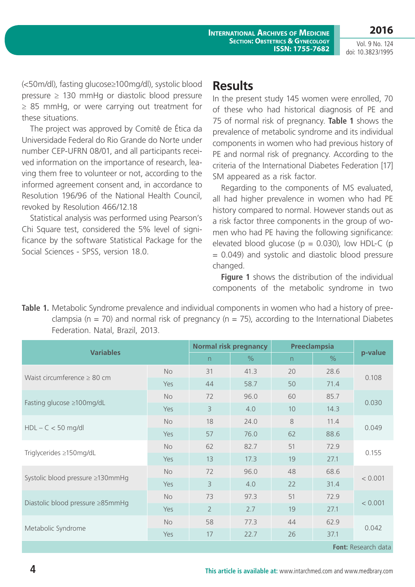**2016**

(<50m/dl), fasting glucose≥100mg/dl), systolic blood pressure  $\geq$  130 mmHg or diastolic blood pressure ≥ 85 mmHg, or were carrying out treatment for these situations.

The project was approved by Comitê de Ética da Universidade Federal do Rio Grande do Norte under number CEP-UFRN 08/01, and all participants received information on the importance of research, leaving them free to volunteer or not, according to the informed agreement consent and, in accordance to Resolution 196/96 of the National Health Council, revoked by Resolution 466/12.18

Statistical analysis was performed using Pearson's Chi Square test, considered the 5% level of significance by the software Statistical Package for the Social Sciences - SPSS, version 18.0.

### **Results**

In the present study 145 women were enrolled, 70 of these who had historical diagnosis of PE and 75 of normal risk of pregnancy. **Table 1** shows the prevalence of metabolic syndrome and its individual components in women who had previous history of PE and normal risk of pregnancy. According to the criteria of the International Diabetes Federation [17] SM appeared as a risk factor.

Regarding to the components of MS evaluated, all had higher prevalence in women who had PE history compared to normal. However stands out as a risk factor three components in the group of women who had PE having the following significance: elevated blood glucose ( $p = 0.030$ ), low HDL-C ( $p = 0.030$ ) = 0.049) and systolic and diastolic blood pressure changed.

**Figure 1** shows the distribution of the individual components of the metabolic syndrome in two

**Table 1.** Metabolic Syndrome prevalence and individual components in women who had a history of preeclampsia (n = 70) and normal risk of pregnancy (n = 75), according to the International Diabetes Federation. Natal, Brazil, 2013.

| <b>Variables</b>                 |           | Normal risk pregnancy |      | <b>Preeclampsia</b> |               |         |
|----------------------------------|-----------|-----------------------|------|---------------------|---------------|---------|
|                                  |           | n                     | $\%$ | n                   | $\frac{0}{0}$ | p-value |
| Waist circumference $\geq 80$ cm | <b>No</b> | 31                    | 41.3 | 20                  | 28.6          | 0.108   |
|                                  | Yes       | 44                    | 58.7 | 50                  | 71.4          |         |
| Fasting glucose ≥100mg/dL        | <b>No</b> | 72                    | 96.0 | 60                  | 85.7          | 0.030   |
|                                  | Yes       | $\overline{3}$        | 4.0  | 10                  | 14.3          |         |
| $HDL - C < 50$ mg/dl             | <b>No</b> | 18                    | 24.0 | 8                   | 11.4          | 0.049   |
|                                  | Yes       | 57                    | 76.0 | 62                  | 88.6          |         |
| Triglycerides ≥150mg/dL          | <b>No</b> | 62                    | 82.7 | 51                  | 72.9          | 0.155   |
|                                  | Yes       | 13                    | 17.3 | 19                  | 27.1          |         |
| Systolic blood pressure ≥130mmHg | No        | 72                    | 96.0 | 48                  | 68.6          | < 0.001 |
|                                  | Yes       | 3                     | 4.0  | 22                  | 31.4          |         |
| Diastolic blood pressure ≥85mmHg | <b>No</b> | 73                    | 97.3 | 51                  | 72.9          | < 0.001 |
|                                  | Yes       | $\overline{2}$        | 2.7  | 19                  | 27.1          |         |
| Metabolic Syndrome               | <b>No</b> | 58                    | 77.3 | 44                  | 62.9          | 0.042   |
|                                  | Yes       | 17                    | 22.7 | 26                  | 37.1          |         |

**Font:** Research data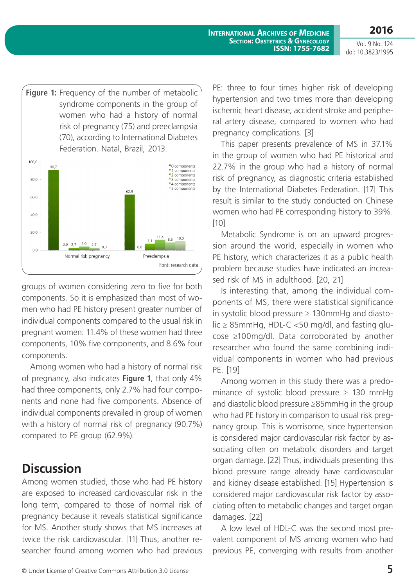

groups of women considering zero to five for both components. So it is emphasized than most of women who had PE history present greater number of individual components compared to the usual risk in pregnant women: 11.4% of these women had three components, 10% five components, and 8.6% four components.

Among women who had a history of normal risk of pregnancy, also indicates **Figure 1**, that only 4% had three components, only 2.7% had four components and none had five components. Absence of individual components prevailed in group of women with a history of normal risk of pregnancy (90.7%) compared to PE group (62.9%).

# **Discussion**

Among women studied, those who had PE history are exposed to increased cardiovascular risk in the long term, compared to those of normal risk of pregnancy because it reveals statistical significance for MS. Another study shows that MS increases at twice the risk cardiovascular. [11] Thus, another researcher found among women who had previous PE: three to four times higher risk of developing hypertension and two times more than developing ischemic heart disease, accident stroke and peripheral artery disease, compared to women who had pregnancy complications. [3]

This paper presents prevalence of MS in 37.1% in the group of women who had PE historical and 22.7% in the group who had a history of normal risk of pregnancy, as diagnostic criteria established by the International Diabetes Federation. [17] This result is similar to the study conducted on Chinese women who had PE corresponding history to 39%. [10]

Metabolic Syndrome is on an upward progression around the world, especially in women who PE history, which characterizes it as a public health problem because studies have indicated an increased risk of MS in adulthood. [20, 21]

Is interesting that, among the individual components of MS, there were statistical significance in systolic blood pressure  $\geq 130$ mmHg and diastolic ≥ 85mmHg, HDL-C <50 mg/dl, and fasting glucose ≥100mg/dl. Data corroborated by another researcher who found the same combining individual components in women who had previous PE. [19]

Among women in this study there was a predominance of systolic blood pressure  $\geq$  130 mmHg and diastolic blood pressure ≥85mmHg in the group who had PE history in comparison to usual risk pregnancy group. This is worrisome, since hypertension is considered major cardiovascular risk factor by associating often on metabolic disorders and target organ damage. [22] Thus, individuals presenting this blood pressure range already have cardiovascular and kidney disease established. [15] Hypertension is considered major cardiovascular risk factor by associating often to metabolic changes and target organ damages. [22]

A low level of HDL-C was the second most prevalent component of MS among women who had previous PE, converging with results from another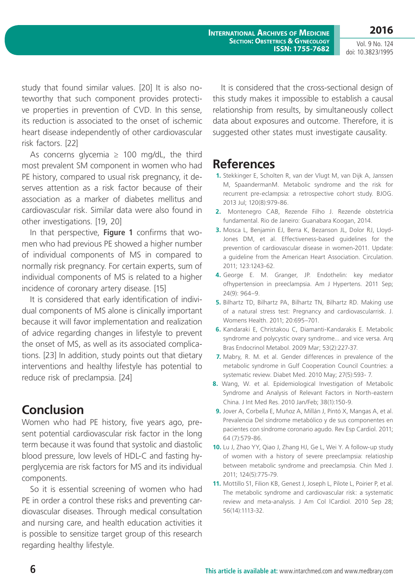**International Archives of Medicine SECTION: OBSTETRICS & GYNECOLOGY ISSN: 1755-7682**

**2016** Vol. 9 No. 124 doi: 10.3823/1995

study that found similar values. [20] It is also noteworthy that such component provides protective properties in prevention of CVD. In this sense, its reduction is associated to the onset of ischemic heart disease independently of other cardiovascular risk factors. [22]

As concerns glycemia  $\geq$  100 mg/dL, the third most prevalent SM component in women who had PE history, compared to usual risk pregnancy, it deserves attention as a risk factor because of their association as a marker of diabetes mellitus and cardiovascular risk. Similar data were also found in other investigations. [19, 20]

In that perspective, **Figure 1** confirms that women who had previous PE showed a higher number of individual components of MS in compared to normally risk pregnancy. For certain experts, sum of individual components of MS is related to a higher incidence of coronary artery disease. [15]

It is considered that early identification of individual components of MS alone is clinically important because it will favor implementation and realization of advice regarding changes in lifestyle to prevent the onset of MS, as well as its associated complications. [23] In addition, study points out that dietary interventions and healthy lifestyle has potential to reduce risk of preclampsia. [24]

# **Conclusion**

Women who had PE history, five years ago, present potential cardiovascular risk factor in the long term because it was found that systolic and diastolic blood pressure, low levels of HDL-C and fasting hyperglycemia are risk factors for MS and its individual components.

So it is essential screening of women who had PE in order a control these risks and preventing cardiovascular diseases. Through medical consultation and nursing care, and health education activities it is possible to sensitize target group of this research regarding healthy lifestyle.

It is considered that the cross-sectional design of this study makes it impossible to establish a causal relationship from results, by simultaneously collect data about exposures and outcome. Therefore, it is suggested other states must investigate causality.

# **References**

- **1.** Stekkinger E, Scholten R, van der Vlugt M, van Dijk A, Janssen M, SpaandermanM. Metabolic syndrome and the risk for recurrent pre-eclampsia: a retrospective cohort study. BJOG. 2013 Jul; 120(8):979-86.
- **2.** Montenegro CAB, Rezende Filho J. Rezende obstetrícia fundamental. Rio de Janeiro: Guanabara Koogan, 2014.
- **3.** Mosca L, Benjamin EJ, Berra K, Bezanson JL, Dolor RJ, LIoyd-Jones DM, et al. Effectiveness-based guidelines for the prevention of cardiovascular disease in women-2011. Update: a guideline from the American Heart Association. Circulation. 2011; 123:1243-62.
- **4.** George E. M. Granger, JP. Endothelin: key mediator ofhypertension in preeclampsia. Am J Hypertens. 2011 Sep; 24(9): 964–9.
- **5.** Bilhartz TD, Bilhartz PA, Bilhartz TN, Bilhartz RD. Making use of a natural stress test: Pregnancy and cardiovascularrisk. J. Womens Health. 2011; 20:695–701.
- **6.** Kandaraki E, Christakou C, Diamanti-Kandarakis E. Metabolic syndrome and polycystic ovary syndrome... and vice versa. Arq Bras Endocrinol Metabol. 2009 Mar; 53(2):227-37.
- **7.** Mabry, R. M. et al. Gender differences in prevalence of the metabolic syndrome in Gulf Cooperation Council Countries: a systematic review. Diabet Med. 2010 May; 27(5):593- 7.
- **8.** Wang, W. et al. Epidemiological Investigation of Metabolic Syndrome and Analysis of Relevant Factors in North-eastern China. J Int Med Res. 2010 Jan/Feb; 38(1):150-9.
- **9.** Jover A, Corbella E, Muñoz A, Millán J, Pintó X, Mangas A, et al. Prevalencia Del síndrome metabólico y de sus componentes en pacientes con síndrome coronario agudo. Rev Esp Cardiol. 2011; 64 (7):579-86.
- **10.** Lu J, Zhao YY, Qiao J, Zhang HJ, Ge L, Wei Y. A follow-up study of women with a history of severe preeclampsia: relatioship between metabolic syndrome and preeclampsia. Chin Med J. 2011; 124(5):775-79.
- **11.** Mottillo S1, Filion KB, Genest J, Joseph L, Pilote L, Poirier P, et al. The metabolic syndrome and cardiovascular risk: a systematic review and meta-analysis. J Am Col lCardiol. 2010 Sep 28; 56(14):1113-32.